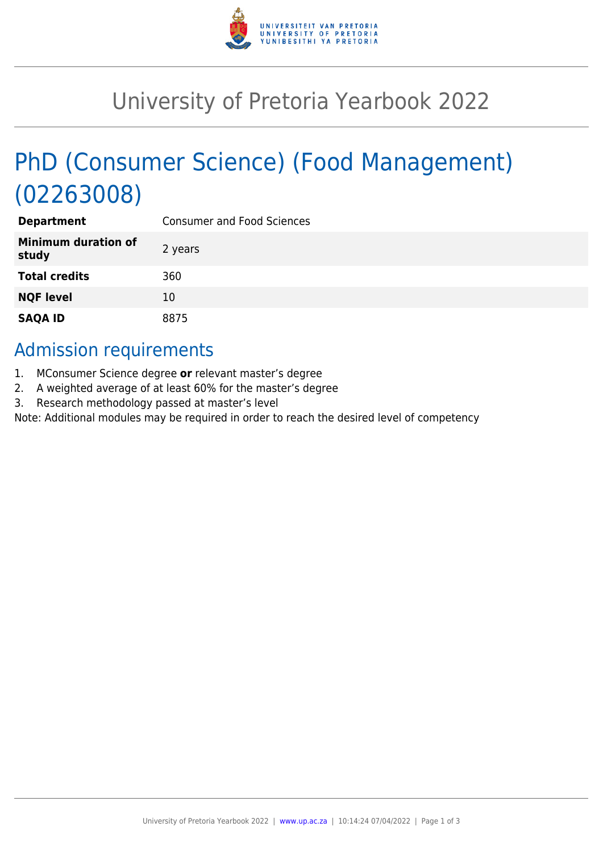

## University of Pretoria Yearbook 2022

# PhD (Consumer Science) (Food Management) (02263008)

| <b>Department</b>                   | <b>Consumer and Food Sciences</b> |
|-------------------------------------|-----------------------------------|
| <b>Minimum duration of</b><br>study | 2 years                           |
| <b>Total credits</b>                | 360                               |
| <b>NQF level</b>                    | 10                                |
| <b>SAQA ID</b>                      | 8875                              |

## Admission requirements

- 1. MConsumer Science degree **or** relevant master's degree
- 2. A weighted average of at least 60% for the master's degree
- 3. Research methodology passed at master's level

Note: Additional modules may be required in order to reach the desired level of competency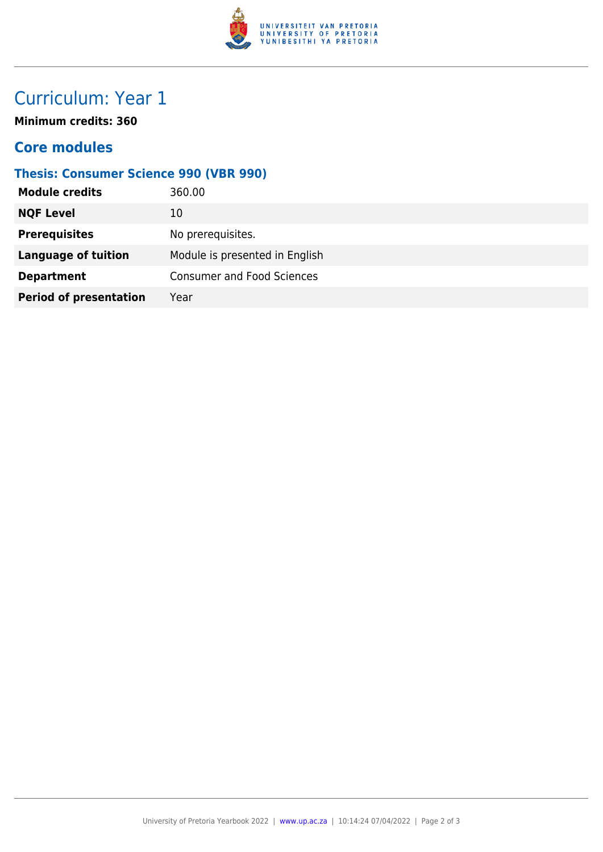

## Curriculum: Year 1

**Minimum credits: 360**

### **Core modules**

#### **Thesis: Consumer Science 990 (VBR 990)**

| <b>Module credits</b>         | 360.00                            |
|-------------------------------|-----------------------------------|
| <b>NQF Level</b>              | 10                                |
| <b>Prerequisites</b>          | No prerequisites.                 |
| <b>Language of tuition</b>    | Module is presented in English    |
| <b>Department</b>             | <b>Consumer and Food Sciences</b> |
| <b>Period of presentation</b> | Year                              |
|                               |                                   |